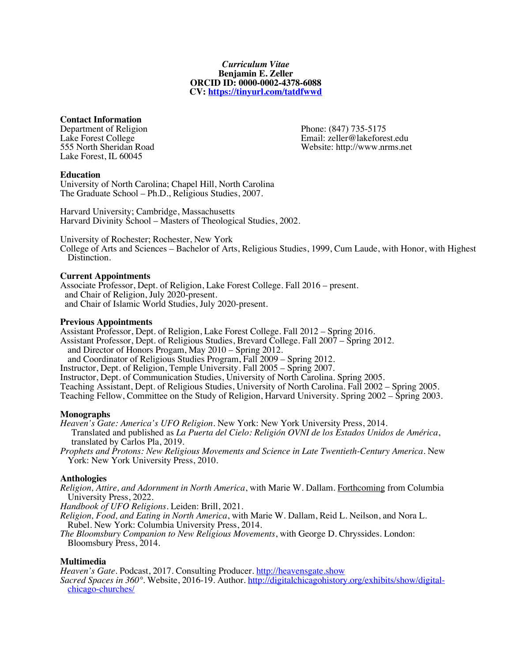#### *Curriculum Vitae* **Benjamin E. Zeller ORCID ID: 0000-0002-4378-6088 CV: https://tinyurl.com/tatdfwwd**

# **Contact Information**

Department of Religion Phone: (847) 735-5175<br>
Lake Forest College Phone: (847) 735-5175 Lake Forest, IL 60045

Lake Forest College Email: zeller@lakeforest.edu<br>
555 North Sheridan Road 
S55 North Sheridan Road 
Email: zeller@lakeforest.edu Website: http://www.nrms.net

# **Education**

University of North Carolina; Chapel Hill, North Carolina The Graduate School – Ph.D., Religious Studies, 2007.

Harvard University; Cambridge, Massachusetts Harvard Divinity School – Masters of Theological Studies, 2002.

University of Rochester; Rochester, New York

College of Arts and Sciences – Bachelor of Arts, Religious Studies, 1999, Cum Laude, with Honor, with Highest Distinction.

### **Current Appointments**

Associate Professor, Dept. of Religion, Lake Forest College. Fall 2016 – present. and Chair of Religion, July 2020-present. and Chair of Islamic World Studies, July 2020-present.

### **Previous Appointments**

Assistant Professor, Dept. of Religion, Lake Forest College. Fall 2012 – Spring 2016. Assistant Professor, Dept. of Religious Studies, Brevard College. Fall 2007 – Spring 2012. and Director of Honors Progam, May 2010 – Spring 2012.<br>and Coordinator of Religious Studies Program, Fall 2009 – Spring 2012. Instructor, Dept. of Religion, Temple University. Fall 2005 – Spring 2007. Instructor, Dept. of Communication Studies, University of North Carolina. Spring 2005. Teaching Assistant, Dept. of Religious Studies, University of North Carolina. Fall 2002 – Spring 2005. Teaching Fellow, Committee on the Study of Religion, Harvard University. Spring 2002 – Spring 2003.

### **Monographs**

*Heaven's Gate: America's UFO Religion*. New York: New York University Press, 2014. Translated and published as *La Puerta del Cielo: Religión OVNI de los Estados Unidos de América*, translated by Carlos Pla, 2019.

*Prophets and Protons: New Religious Movements and Science in Late Twentieth-Century America*. New York: New York University Press, 2010.

# **Anthologies**

*Religion, Attire, and Adornment in North America*, with Marie W. Dallam. Forthcoming from Columbia

Handbook of UFO Religions. Leiden: Brill, 2021.

- *Religion, Food, and Eating in North America*, with Marie W. Dallam, Reid L. Neilson, and Nora L.
- The Bloomsbury Companion to New Religious Movements, with George D. Chryssides. London: Bloomsbury Press, 2014.

# **Multimedia**

*Heaven's Gate*. Podcast, 2017. Consulting Producer. http://heavensgate.show

*Sacred Spaces in 360°*. Website, 2016-19. Author. http://digitalchicagohistory.org/exhibits/show/digital-<br>chicago-churches/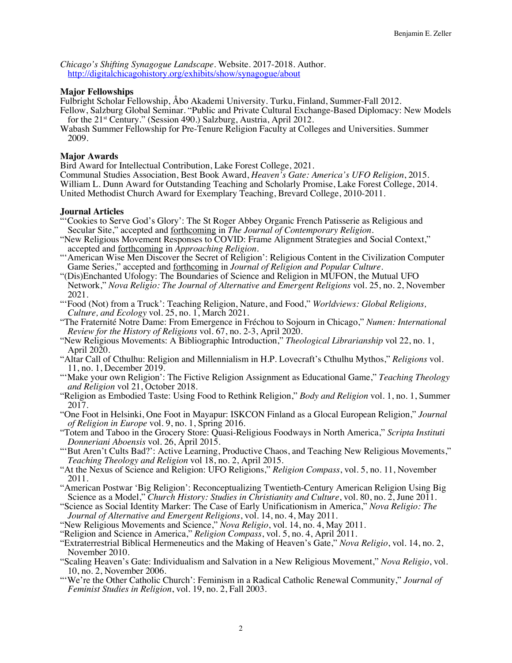*Chicago's Shifting Synagogue Landscape*. Website. 2017-2018. Author. http://digitalchicagohistory.org/exhibits/show/synagogue/about

# **Major Fellowships**

Fulbright Scholar Fellowship, Åbo Akademi University. Turku, Finland, Summer-Fall 2012.

Fellow, Salzburg Global Seminar. "Public and Private Cultural Exchange-Based Diplomacy: New Models for the 21<sup>st</sup> Century." (Session 490.) Salzburg, Austria, April 2012.

Wabash Summer Fellowship for Pre-Tenure Religion Faculty at Colleges and Universities. Summer 2009.

# **Major Awards**

Bird Award for Intellectual Contribution, Lake Forest College, 2021.

Communal Studies Association, Best Book Award, *Heaven's Gate: America's UFO Religion*, 2015. William L. Dunn Award for Outstanding Teaching and Scholarly Promise, Lake Forest College, 2014. United Methodist Church Award for Exemplary Teaching, Brevard College, 2010-2011.

# **Journal Articles**

- 'Cookies to Serve God's Glory': The St Roger Abbey Organic French Patisserie as Religious and Secular Site," accepted and forthcoming in *The Journal of Contemporary Religion*.
- "New Religious Movement Responses to COVID: Frame Alignment Strategies and Social Context,"<br>accepted and <u>forthcoming</u> in *Approaching Religion*.
- accepted and <u>forthcoming</u> and *i* decret of Religion': Religious Content in the Civilization Computer<br>Game Series," accepted and <u>forthcoming</u> in *Journal of Religion and Popular Culture*.
- Game Series," accepted and forthcoming in *Journal of Religion and Popular Culture*. "(Dis)Enchanted Ufology: The Boundaries of Science and Religion in MUFON, the Mutual UFO Network," *Nova Religio: The Journal of Alternative and Emergent Religions* vol. 25, no. 2, November 2021.
- "'Food (Not) from a Truck': Teaching Religion, Nature, and Food," *Worldviews: Global Religions, Culture, and Ecology* vol. 25, no. 1, March 2021.
- "The Fraternité Notre Dame: From Emergence in Fréchou to Sojourn in Chicago," *Numen: International*
- *Review for the History of Religions* vol. 67, no. 2-3, April 2020. "New Religious Movements: A Bibliographic Introduction," *Theological Librarianship* vol 22, no. 1, April 2020.
- "Altar Call of Cthulhu: Religion and Millennialism in H.P. Lovecraft's Cthulhu Mythos," *Religions* vol.
- "'Make your own Religion': The Fictive Religion Assignment as Educational Game," *Teaching Theology and Religion* vol 21, October 2018.
- "Religion as Embodied Taste: Using Food to Rethink Religion," *Body and Religion* vol. 1, no. 1, Summer 2017.
- "One Foot in Helsinki, One Foot in Mayapur: ISKCON Finland as a Glocal European Religion," *Journal of Religion in Europe* vol. 9, no. 1, Spring 2016.
- "Totem and Taboo in the Grocery Store: Quasi-Religious Foodways in North America," *Scripta Instituti Donneriani Aboensis* vol. 26, April 2015.
- ""But Aren't Cults Bad?': Active Learning, Productive Chaos, and Teaching New Religious Movements," *Teaching Theology and Religion* vol 18, no. 2, April 2015.
- "At the Nexus of Science and Religion: UFO Religions," *Religion Compass*, vol. 5, no. 11, November 2011.

"American Postwar 'Big Religion': Reconceptualizing Twentieth-Century American Religion Using Big Science as a Model," *Church History: Studies in Christianity and Culture*, vol. 80, no. 2, June 2011.

- "Science as Social Identity Marker: The Case of Early Unificationism in America," *Nova Religio: The Journal of Alternative and Emergent Religions*, vol. 14, no. 4, May 2011.
- "New Religious Movements and Science," *Nova Religio*, vol. 14, no. 4, May 2011.
- "Religion and Science in America," *Religion Compass*, vol. 5, no. 4, April 2011.
- "Extraterrestrial Biblical Hermeneutics and the Making of Heaven's Gate," *Nova Religio*, vol. 14, no. 2, November 2010.
- "Scaling Heaven's Gate: Individualism and Salvation in a New Religious Movement," *Nova Religio*, vol. 10, no. 2, November 2006.
- "'We're the Other Catholic Church': Feminism in a Radical Catholic Renewal Community," Journal of *Feminist Studies in Religion*, vol. 19, no. 2, Fall 2003.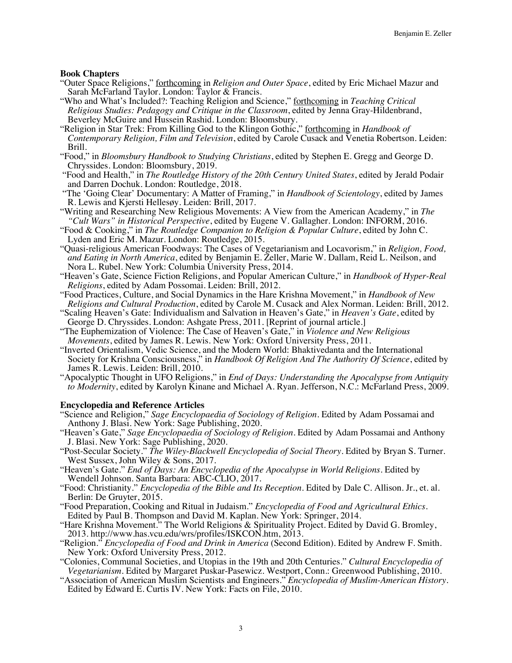# **Book Chapters**

- "Outer Space Religions," forthcoming in *Religion and Outer Space*, edited by Eric Michael Mazur and
- "Who and What's Included?: Teaching Religion and Science," forthcoming in *Teaching Critical Religious Studies: Pedagogy and Critique in the Classroom*, edited by Jenna Gray-Hildenbrand,
- "Religion in Star Trek: From Killing God to the Klingon Gothic," forthcoming in *Handbook of Contemporary Religion, Film and Television*, edited by Carole Cusack and Venetia Robertson. Leiden:
- Brill. "Food," in *Bloomsbury Handbook to Studying Christians*, edited by Stephen E. Gregg and George D.
- "Food and Health," in *The Routledge History of the 20th Century United States*, edited by Jerald Podair and Darren Dochuk. London: Routledge, 2018.
- "The 'Going Clear' Documentary: A Matter of Framing," in *Handbook of Scientology*, edited by James
- Writing and Researching New Religious Movements: A View from the American Academy," in *The "Cult Wars" in Historical Perspective*, edited by Eugene V. Gallagher. London: INFORM, 2016.
- "Food & Cooking," in The Routledge Companion to Religion & Popular Culture, edited by John C. Lyden and Eric M. Mazur. London: Routledge, 2015.
- "Quasi-religious American Foodways: The Cases of Vegetarianism and Locavorism," in *Religion, Food, and Eating in North America*, edited by Benjamin E. Zeller, Marie W. Dallam, Reid L. Neilson, and
- "Heaven's Gate, Science Fiction Religions, and Popular American Culture," in *Handbook of Hyper-Real Religions*, edited by Adam Possomai. Leiden: Brill, 2012.
- "Food Practices, Culture, and Social Dynamics in the Hare Krishna Movement," in *Handbook of New*
- *Religions and Cultural Production*, edited by Carole M. Cusack and Alex Norman. Leiden: Brill, 2012. "Scaling Heaven's Gate: Individualism and Salvation in Heaven's Gate," in *Heaven's Gate*, edited by George D. Chryssides. London: Ashgate Press, 2011. [Reprint of journal article.]
- "The Euphemization of Violence: The Case of Heaven's Gate," in *Violence and New Religious Movements*, edited by James R. Lewis. New York: Oxford University Press, 2011.
- "Inverted Orientalism, Vedic Science, and the Modern World: Bhaktivedanta and the International Society for Krishna Consciousness," in *Handbook Of Religion And The Authority Of Science*, edited by James R. Lewis. Leiden: Brill, 2010.
- "Apocalyptic Thought in UFO Religions," in *End of Days: Understanding the Apocalypse from Antiquity to Modernity*, edited by Karolyn Kinane and Michael A. Ryan. Jefferson, N.C.: McFarland Press, 2009.

### **Encyclopedia and Reference Articles**

- "Science and Religion," *Sage Encyclopaedia of Sociology of Religion*. Edited by Adam Possamai and Anthony J. Blasi. New York: Sage Publishing, 2020.
- "Heaven's Gate," *Sage Encyclopaedia of Sociology of Religion*. Edited by Adam Possamai and Anthony J. Blasi. New York: Sage Publishing, 2020.
- "Post-Secular Society." *The Wiley-Blackwell Encyclopedia of Social Theory*. Edited by Bryan S. Turner. West Sussex, John Wiley & Sons, 2017.
- "Heaven's Gate." *End of Days: An Encyclopedia of the Apocalypse in World Religions*. Edited by Wendell Johnson. Santa Barbara: ABC-CLIO, 2017.
- "Food: Christianity." *Encyclopedia of the Bible and Its Reception*. Edited by Dale C. Allison. Jr., et. al.
- "Food Preparation, Cooking and Ritual in Judaism." *Encyclopedia of Food and Agricultural Ethics*. Edited by Paul B. Thompson and David M. Kaplan. New York: Springer, 2014.
- "Hare Krishna Movement." The World Religions & Spirituality Project. Edited by David G. Bromley, 2013. http://www.has.vcu.edu/wrs/profiles/ISKCON.htm, 2013.
- "Religion." *Encyclopedia of Food and Drink in America* (Second Edition). Edited by Andrew F. Smith. New York: Oxford University Press, 2012.
- "Colonies, Communal Societies, and Utopias in the 19th and 20th Centuries." *Cultural Encyclopedia of Vegetarianism*. Edited by Margaret Puskar-Pasewicz. Westport, Conn.: Greenwood Publishing, 2010.
- "Association of American Muslim Scientists and Engineers." *Encyclopedia of Muslim-American History*. Edited by Edward E. Curtis IV. New York: Facts on File, 2010.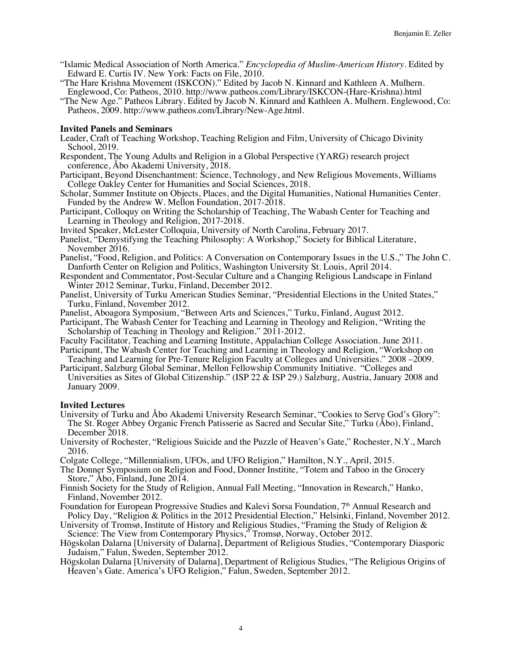- "Islamic Medical Association of North America." *Encyclopedia of Muslim-American History*. Edited by Edward E. Curtis IV. New York: Facts on File, 2010.
- "The Hare Krishna Movement (ISKCON)." Edited by Jacob N. Kinnard and Kathleen A. Mulhern.
- "The New Age." Patheos Library. Edited by Jacob N. Kinnard and Kathleen A. Mulhern. Englewood, Co: Patheos, 2009. http://www.patheos.com/Library/New-Age.html.

#### **Invited Panels and Seminars**

- Leader, Craft of Teaching Workshop, Teaching Religion and Film, University of Chicago Divinity School, 2019.
- Respondent, The Young Adults and Religion in a Global Perspective (YARG) research project conference, Åbo Akademi University, 2018.
- Participant, Beyond Disenchantment: Science, Technology, and New Religious Movements, Williams College Oakley Center for Humanities and Social Sciences, 2018.
- Scholar, Summer Institute on Objects, Places, and the Digital Humanities, National Humanities Center. Funded by the Andrew W. Mellon Foundation, 2017-2018.
- Participant, Colloquy on Writing the Scholarship of Teaching, The Wabash Center for Teaching and Learning in Theology and Religion, 2017-2018.
- Invited Speaker, McLester Colloquia, University of North Carolina, February 2017.
- Panelist, "Demystifying the Teaching Philosophy: A Workshop," Society for Biblical Literature, November 2016.
- Panelist, "Food, Religion, and Politics: A Conversation on Contemporary Issues in the U.S.," The John C. Danforth Center on Religion and Politics, Washington University St. Louis, April 2014.
- Respondent and Commentator, Post-Secular Culture and a Changing Religious Landscape in Finland Winter 2012 Seminar, Turku, Finland, December 2012.
- Panelist, University of Turku American Studies Seminar, "Presidential Elections in the United States," Turku, Finland, November 2012.
- Panelist, Aboagora Symposium, "Between Arts and Sciences," Turku, Finland, August 2012.
- Participant, The Wabash Center for Teaching and Learning in Theology and Religion, "Writing the Scholarship of Teaching in Theology and Religion." 2011-2012.
- Faculty Facilitator, Teaching and Learning Institute, Appalachian College Association. June 2011.
- Participant, The Wabash Center for Teaching and Learning in Theology and Religion, "Workshop on Teaching and Learning for Pre-Tenure Religion Faculty at Colleges and Universities." 2008 –2009.
- Participant, Salzburg Global Seminar, Mellon Fellowship Community Initiative. "Colleges and Universities as Sites of Global Citizenship." (ISP 22 & ISP 29.) Salzburg, Austria, January 2008 and January 2009.

#### **Invited Lectures**

- University of Turku and Åbo Akademi University Research Seminar, "Cookies to Serve God's Glory": The St. Roger Abbey Organic French Patisserie as Sacred and Secular Site," Turku (Åbo), Finland, December 2018.
- University of Rochester, "Religious Suicide and the Puzzle of Heaven's Gate," Rochester, N.Y., March 2016.
- Colgate College, "Millennialism, UFOs, and UFO Religion," Hamilton, N.Y., April, 2015.
- The Donner Symposium on Religion and Food, Donner Institite, "Totem and Taboo in the Grocery Store," Åbo, Finland, June 2014.
- Finnish Society for the Study of Religion, Annual Fall Meeting, "Innovation in Research," Hanko, Finland, November 2012.
- Foundation for European Progressive Studies and Kalevi Sorsa Foundation, 7<sup>th</sup> Annual Research and Policy Day, "Religion & Politics in the 2012 Presidential Election," Helsinki, Finland, November 2012.
- University of Tromsø, Institute of History and Religious Studies, "Framing the Study of Religion & Science: The View from Contemporary Physics," Tromsø, Norway, October 2012.
- Högskolan Dalarna [University of Dalarna], Department of Religious Studies, "Contemporary Diasporic
- Judaism," Falun, Sweden, September 2012. Högskolan Dalarna [University of Dalarna], Department of Religious Studies, "The Religious Origins of Heaven's Gate. America's UFO Religion," Falun, Sweden, September 2012.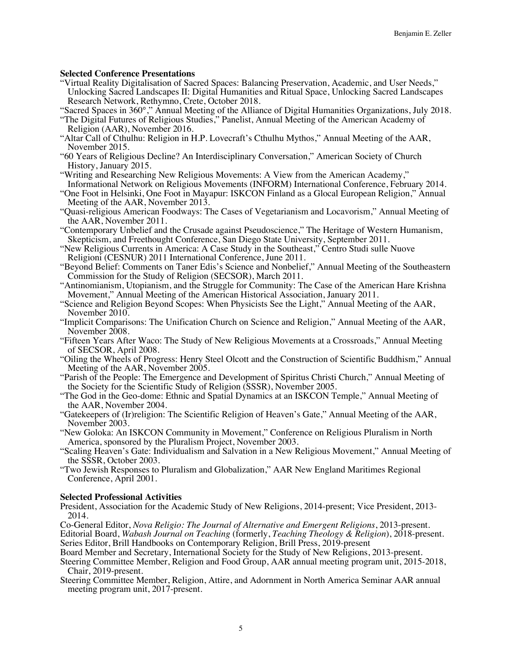# **Selected Conference Presentations**

- "Virtual Reality Digitalisation of Sacred Spaces: Balancing Preservation, Academic, and User Needs," Unlocking Sacred Landscapes II: Digital Humanities and Ritual Space, Unlocking Sacred Landscapes Research Network, Rethymno, Crete, October 2018.
- "Sacred Spaces in 360°," Annual Meeting of the Alliance of Digital Humanities Organizations, July 2018.
- "The Digital Futures of Religious Studies," Panelist, Annual Meeting of the American Academy of Religion (AAR), November 2016.
- "Altar Call of Cthulhu: Religion in H.P. Lovecraft's Cthulhu Mythos," Annual Meeting of the AAR,
- "60 Years of Religious Decline? An Interdisciplinary Conversation," American Society of Church<br>History, January 2015.
- "Writing and Researching New Religious Movements: A View from the American Academy," Informational Network on Religious Movements (INFORM) International Conference, February 2014.
- "One Foot in Helsinki, One Foot in Mayapur: ISKCON Finland as a Glocal European Religion," Annual
- "Quasi-religious American Foodways: The Cases of Vegetarianism and Locavorism," Annual Meeting of the AAR, November 2011.
- "Contemporary Unbelief and the Crusade against Pseudoscience," The Heritage of Western Humanism, Skepticism, and Freethought Conference, San Diego State University, September 2011.
- "New Religious Currents in America: A Case Study in the Southeast," Centro Studi sulle Nuove
- "Beyond Belief: Comments on Taner Edis's Science and Nonbelief," Annual Meeting of the Southeastern Commission for the Study of Religion (SECSOR), March 2011.
- "Antinomianism, Utopianism, and the Struggle for Community: The Case of the American Hare Krishna Movement," Annual Meeting of the American Historical Association, January 2011.
- "Science and Religion Beyond Scopes: When Physicists See the Light," Annual Meeting of the AAR, November 2010.
- "Implicit Comparisons: The Unification Church on Science and Religion," Annual Meeting of the AAR, November 2008.
- "Fifteen Years After Waco: The Study of New Religious Movements at a Crossroads," Annual Meeting of SECSOR, April 2008.
- "Oiling the Wheels of Progress: Henry Steel Olcott and the Construction of Scientific Buddhism," Annual
- "Parish of the People: The Emergence and Development of Spiritus Christi Church," Annual Meeting of the Society for the Scientific Study of Religion (SSSR), November 2005.
- "The God in the Geo-dome: Ethnic and Spatial Dynamics at an ISKCON Temple," Annual Meeting of the AAR, November 2004.
- "Gatekeepers of (Ir)religion: The Scientific Religion of Heaven's Gate," Annual Meeting of the AAR, November 2003.
- "New Goloka: An ISKCON Community in Movement," Conference on Religious Pluralism in North America, sponsored by the Pluralism Project, November 2003.
- "Scaling Heaven's Gate: Individualism and Salvation in a New Religious Movement," Annual Meeting of the SSSR, October 2003.
- "Two Jewish Responses to Pluralism and Globalization," AAR New England Maritimes Regional Conference, April 2001.

### **Selected Professional Activities**

President, Association for the Academic Study of New Religions, 2014-present; Vice President, 2013- 2014.

Co-General Editor, *Nova Religio: The Journal of Alternative and Emergent Religions*, 2013-present. Editorial Board, *Wabash Journal on Teaching* (formerly, *Teaching Theology & Religion*), 2018-present. Series Editor, Brill Handbooks on Contemporary Religion, Brill Press, 2019-present

- Board Member and Secretary, International Society for the Study of New Religions, 2013-present.
- Steering Committee Member, Religion and Food Group, AAR annual meeting program unit, 2015-2018, Chair, 2019-present.
- Steering Committee Member, Religion, Attire, and Adornment in North America Seminar AAR annual meeting program unit, 2017-present.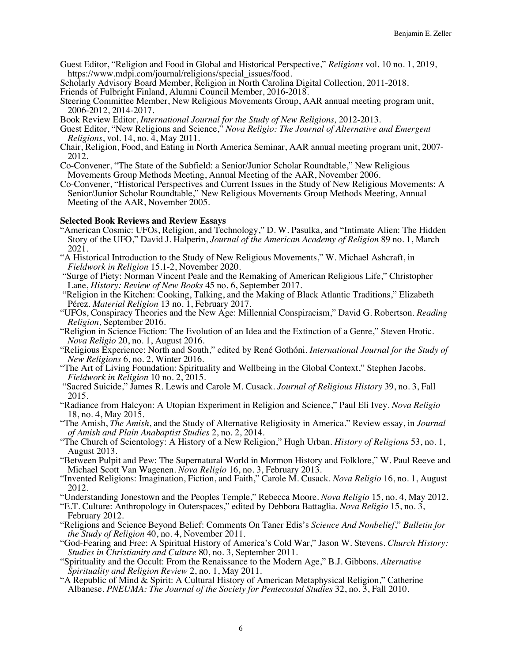Guest Editor, "Religion and Food in Global and Historical Perspective," *Religions* vol. 10 no. 1, 2019,

https://www.mdpi.com/journal/religions/special\_issues/food.<br>Scholarly Advisory Board Member, Religion in North Carolina Digital Collection, 2011-2018.

Friends of Fulbright Finland, Alumni Council Member, 2016-2018.<br>Steering Committee Member, New Religious Movements Group, AAR annual meeting program unit,<br>2006-2012, 2014-2017.

- Book Review Editor, International Journal for the Study of New Religions, 2012-2013.<br>Guest Editor, "New Religions and Science," Nova Religio: The Journal of Alternative and Emergent *Religions*, vol. 14, no. 4, May 2011.
- Chair, Religion, Food, and Eating in North America Seminar, AAR annual meeting program unit, 2007- 2012.
- Co-Convener, "The State of the Subfield: a Senior/Junior Scholar Roundtable," New Religious Movements Group Methods Meeting, Annual Meeting of the AAR, November 2006.
- Co-Convener, "Historical Perspectives and Current Issues in the Study of New Religious Movements: A Senior/Junior Scholar Roundtable," New Religious Movements Group Methods Meeting, Annual Meeting of the AAR, November 2005.

- **Selected Book Reviews and Review Essays** "American Cosmic: UFOs, Religion, and Technology," D. W. Pasulka, and "Intimate Alien: The Hidden Story of the UFO," David J. Halperin, *Journal of the American Academy of Religion* 89 no. 1, March
- "A Historical Introduction to the Study of New Religious Movements," W. Michael Ashcraft, in Fieldwork in Religion 15.1-2, November 2020.
- *Figure of Piety: Norman Vincent Peale and the Remaking of American Religious Life," Christopher* Lane, *History: Review of New Books* 45 no. 6, September 2017.
- "Religion in the Kitchen: Cooking, Talking, and the Making of Black Atlantic Traditions," Elizabeth Pérez. *Material Religion* 13 no. 1, February 2017.
- "UFOs, Conspiracy Theories and the New Age: Millennial Conspiracism," David G. Robertson. *Reading Religion*, September 2016.
- "Religion in Science Fiction: The Evolution of an Idea and the Extinction of a Genre," Steven Hrotic. *Nova Religio* 20, no. 1, August 2016.
- "Religious Experience: North and South," edited by René Gothóni. *International Journal for the Study of*
- "The Art of Living Foundation: Spirituality and Wellbeing in the Global Context," Stephen Jacobs. *Fieldwork in Religion* 10 no. 2, 2015.
- "Sacred Suicide," James R. Lewis and Carole M. Cusack. *Journal of Religious History* 39, no. 3, Fall
- 2015. "Radiance from Halcyon: A Utopian Experiment in Religion and Science," Paul Eli Ivey. *Nova Religio* 18, no. 4, May 2015.
- "The Amish, *The Amish*, and the Study of Alternative Religiosity in America." Review essay, in *Journal*
- *of The Church of Scientology: A History of a New Religion," Hugh Urban. <i>History of Religions* 53, no. 1, August 2013.
- "Between Pulpit and Pew: The Supernatural World in Mormon History and Folklore," W. Paul Reeve and Michael Scott Van Wagenen. *Nova Religio* 16, no. 3, February 2013.
- "Invented Religions: Imagination, Fiction, and Faith," Carole M. Cusack. *Nova Religio* 16, no. 1, August 2012.<br>"Understanding Jonestown and the Peoples Temple," Rebecca Moore. Nova Religio 15, no. 4, May 2012.
- 

"E.T. Culture: Anthropology in Outerspaces," edited by Debbora Battaglia. *Nova Religio* 15, no. 3, February 2012.

- "Religions and Science Beyond Belief: Comments On Taner Edis's *Science And Nonbelief*," *Bulletin for the Study of Religion* 40, no. 4, November 2011.
- "God-Fearing and Free: A Spiritual History of America's Cold War," Jason W. Stevens*. Church History:*
- "Spirituality and the Occult: From the Renaissance to the Modern Age," B.J. Gibbons. *Alternative Spirituality and Religion Review* 2, no. 1, May 2011.
- "A Republic of Mind & Spirit: A Cultural History of American Metaphysical Religion," Catherine Albanese. *PNEUMA: The Journal of the Society for Pentecostal Studies* 32, no. 3, Fall 2010.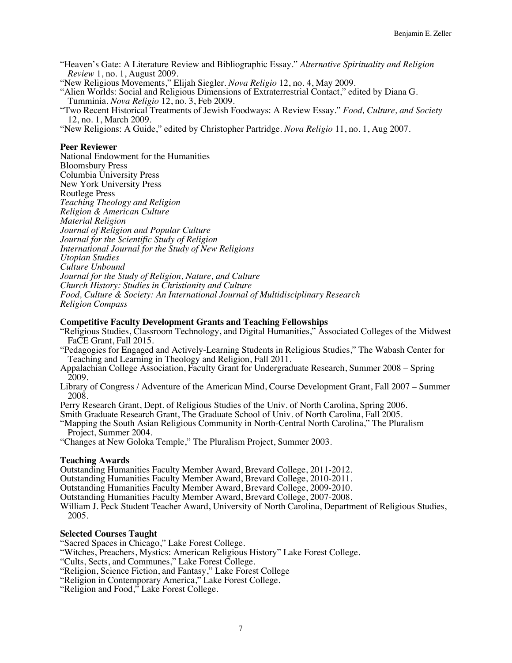"Heaven's Gate: A Literature Review and Bibliographic Essay." *Alternative Spirituality and Religion Review* 1, no. 1, August 2009.

"New Religious Movements," Elijah Siegler. *Nova Religio* 12, no. 4, May 2009. "Alien Worlds: Social and Religious Dimensions of Extraterrestrial Contact," edited by Diana G. Tumminia. *Nova Religio* 12, no. 3, Feb 2009.

"Two Recent Historical Treatments of Jewish Foodways: A Review Essay." *Food, Culture, and Society*

"New Religions: A Guide," edited by Christopher Partridge. *Nova Religio* 11, no. 1, Aug 2007.

#### **Peer Reviewer**

National Endowment for the Humanities Bloomsbury Press Columbia University Press New York University Press Routlege Press *Teaching Theology and Religion Religion & American Culture Material Religion Journal of Religion and Popular Culture Journal for the Scientific Study of Religion International Journal for the Study of New Religions Utopian Studies Culture Unbound Journal for the Study of Religion, Nature, and Culture Church History: Studies in Christianity and Culture Food, Culture & Society: An International Journal of Multidisciplinary Research Religion Compass*

#### **Competitive Faculty Development Grants and Teaching Fellowships**

"Religious Studies, Classroom Technology, and Digital Humanities," Associated Colleges of the Midwest FaCE Grant, Fall 2015.

"Pedagogies for Engaged and Actively-Learning Students in Religious Studies," The Wabash Center for Teaching and Learning in Theology and Religion, Fall 2011.

- Appalachian College Association, Faculty Grant for Undergraduate Research, Summer 2008 Spring 2009.
- Library of Congress / Adventure of the American Mind, Course Development Grant, Fall 2007 Summer 2008.

Perry Research Grant, Dept. of Religious Studies of the Univ. of North Carolina, Spring 2006.

Smith Graduate Research Grant, The Graduate School of Univ. of North Carolina, Fall 2005.

"Mapping the South Asian Religious Community in North-Central North Carolina," The Pluralism Project, Summer 2004.

"Changes at New Goloka Temple," The Pluralism Project, Summer 2003.

**Teaching Awards**<br>Outstanding Humanities Faculty Member Award, Brevard College, 2011-2012.

Outstanding Humanities Faculty Member Award, Brevard College, 2010-2011.

Outstanding Humanities Faculty Member Award, Brevard College, 2009-2010.

Outstanding Humanities Faculty Member Award, Brevard College, 2007-2008.

William J. Peck Student Teacher Award, University of North Carolina, Department of Religious Studies, 2005.

#### **Selected Courses Taught**

"Sacred Spaces in Chicago," Lake Forest College.

"Witches, Preachers, Mystics: American Religious History" Lake Forest College.

"Cults, Sects, and Communes," Lake Forest College.

"Religion, Science Fiction, and Fantasy," Lake Forest College

"Religion in Contemporary America," Lake Forest College. "Religion and Food," Lake Forest College.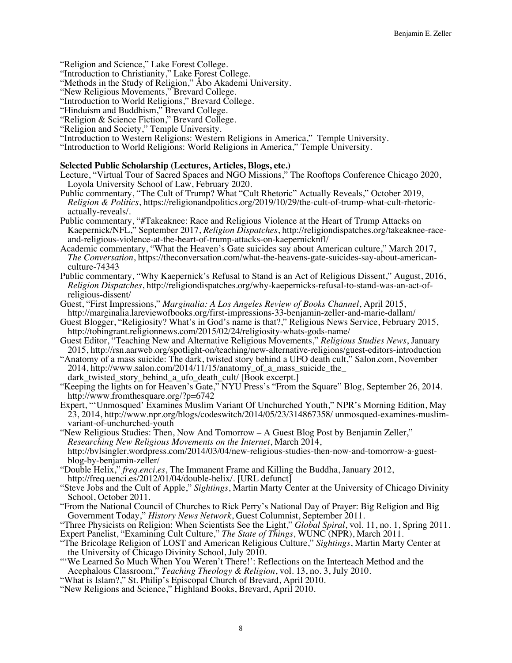"Religion and Science," Lake Forest College. "Introduction to Christianity," Lake Forest College.

"Methods in the Study of Religion," Åbo Akademi University.

"New Religious Movements," Brevard College.

"Introduction to World Religions," Brevard College.<br>"Hinduism and Buddhism," Brevard College.

- 
- 
- 
- "Religion & Science Fiction," Brevard College.<br>"Religion and Society," Temple University.<br>"Introduction to Western Religions: Western Religions in America," Temple University.
- "Introduction to World Religions: World Religions in America," Temple University.

#### **Selected Public Scholarship (Lectures, Articles, Blogs, etc.)**

- Lecture, "Virtual Tour of Sacred Spaces and NGO Missions," The Rooftops Conference Chicago 2020, Loyola University School of Law, February 2020.
- Public commentary, "The Cult of Trump? What "Cult Rhetoric" Actually Reveals," October 2019, *Religion & Politics*, https://religionandpolitics.org/2019/10/29/the-cult-of-trump-what-cult-rhetoric- actually-reveals/.
- Public commentary, "#Takeaknee: Race and Religious Violence at the Heart of Trump Attacks on Kaepernick/NFL," September 2017, *Religion Dispatches*, http://religiondispatches.org/takeaknee-raceand-religious-violence-at-the-heart-of-trump-attacks-on-kaepernicknfl/
- Academic commentary, "What the Heaven's Gate suicides say about American culture," March 2017, *The Conversation*, https://theconversation.com/what-the-heavens-gate-suicides-say-about-american- culture-74343
- Public commentary, "Why Kaepernick's Refusal to Stand is an Act of Religious Dissent," August, 2016, *Religion Dispatches*, http://religiondispatches.org/why-kaepernicks-refusal-to-stand-was-an-act-ofreligious-dissent/
- Guest, "First Impressions," *Marginalia: A Los Angeles Review of Books Channel*, April 2015, http://marginalia.lareviewofbooks.org/first-impressions-33-benjamin-zeller-and-marie-dallam/
- Guest Blogger, "Religiosity? What's in God's name is that?," Religious News Service, February 2015, http://tobingrant.religionnews.com/2015/02/24/religiosity-whats-gods-name/
- Guest Editor, "Teaching New and Alternative Religious Movements," *Religious Studies News*, January 2015, http://rsn.aarweb.org/spotlight-on/teaching/new-alternative-religions/guest-editors-introduction
- "Anatomy of a mass suicide: The dark, twisted story behind a UFO death cult," Salon.com, November 2014, http://www.salon.com/2014/11/15/anatomy\_of\_a\_mass\_suicide\_the\_ dark\_twisted\_story\_behind\_a\_ufo\_death\_cult/ [Book excerpt.]
- "Keeping the lights on for Heaven's Gate," NYU Press's "From the Square" Blog, September 26, 2014. http://www.fromthesquare.org/?p=6742
- Expert, "'Unmosqued' Examines Muslim Variant Of Unchurched Youth," NPR's Morning Edition, May 23, 2014, http://www.npr.org/blogs/codeswitch/2014/05/23/314867358/ unmosqued-examines-muslim- variant-of-unchurched-youth
- "New Religious Studies: Then, Now And Tomorrow A Guest Blog Post by Benjamin Zeller," *Researching New Religious Movements on the Internet*, March 2014, http://bvlsingler.wordpress.com/2014/03/04/new-religious-studies-then-now-and-tomorrow-a-guestblog-by-benjamin-zeller/
- "Double Helix," *freq.enci.es*, The Immanent Frame and Killing the Buddha, January 2012, http://freq.uenci.es/2012/01/04/double-helix/. [URL defunct]
- 
- "Steve Jobs and the Cult of Apple," *Sightings*, Martin Marty Center at the University of Chicago Divinity
- "From the National Council of Churches to Rick Perry's National Day of Prayer: Big Religion and Big Government Today," *History News Network*, Guest Columnist, September 2011.
- "Three Physicists on Religion: When Scientists See the Light," *Global Spiral*, vol. 11, no. 1, Spring 2011. Expert Panelist, "Examining Cult Culture," *The State of Things*, WUNC (NPR), March 2011.
- "The Bricolage Religion of LOST and American Religious Culture," *Sightings*, Martin Marty Center at the University of Chicago Divinity School, July 2010.
- "'We Learned So Much When You Weren't There!': Reflections on the Interteach Method and the Acephalous Classroom," *Teaching Theology & Religion*, vol. 13, no. 3, July 2010.
- "What is Islam?," St. Philip's Episcopal Church of Brevard, April 2010.
- "New Religions and Science," Highland Books, Brevard, April 2010.